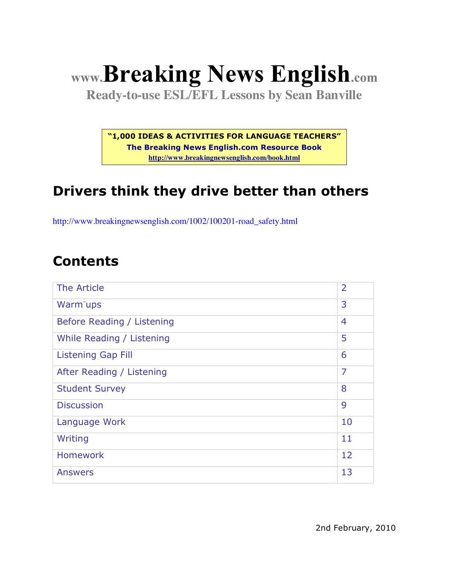# **www.Breaking News English.com**

**Ready-to-use ESL/EFL Lessons by Sean Banville**

**"1,000 IDEAS & ACTIVITIES FOR LANGUAGE TEACHERS"**

**The Breaking News English.com Resource Book http://www.breakingnewsenglish.com/book.html**

### **Drivers think they drive better than others**

http://www.breakingnewsenglish.com/1002/100201-road\_safety.html

#### **Contents**

| The Article                | $\overline{2}$ |
|----------------------------|----------------|
| Warm <sup>-</sup> ups      | 3              |
| Before Reading / Listening | $\overline{4}$ |
| While Reading / Listening  | 5              |
| <b>Listening Gap Fill</b>  | 6              |
| After Reading / Listening  | $\overline{7}$ |
| <b>Student Survey</b>      | 8              |
| <b>Discussion</b>          | 9              |
| Language Work              | 10             |
| Writing                    | 11             |
| <b>Homework</b>            | 12             |
| <b>Answers</b>             | 13             |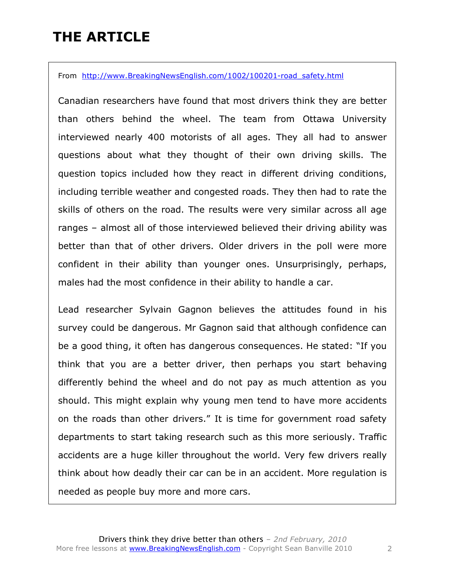### **THE ARTICLE**

From http://www.BreakingNewsEnglish.com/1002/100201-road safety.html

Canadian researchers have found that most drivers think they are better than others behind the wheel. The team from Ottawa University interviewed nearly 400 motorists of all ages. They all had to answer questions about what they thought of their own driving skills. The question topics included how they react in different driving conditions, including terrible weather and congested roads. They then had to rate the skills of others on the road. The results were very similar across all age ranges – almost all of those interviewed believed their driving ability was better than that of other drivers. Older drivers in the poll were more confident in their ability than younger ones. Unsurprisingly, perhaps, males had the most confidence in their ability to handle a car.

Lead researcher Sylvain Gagnon believes the attitudes found in his survey could be dangerous. Mr Gagnon said that although confidence can be a good thing, it often has dangerous consequences. He stated: "If you think that you are a better driver, then perhaps you start behaving differently behind the wheel and do not pay as much attention as you should. This might explain why young men tend to have more accidents on the roads than other drivers." It is time for government road safety departments to start taking research such as this more seriously. Traffic accidents are a huge killer throughout the world. Very few drivers really think about how deadly their car can be in an accident. More regulation is needed as people buy more and more cars.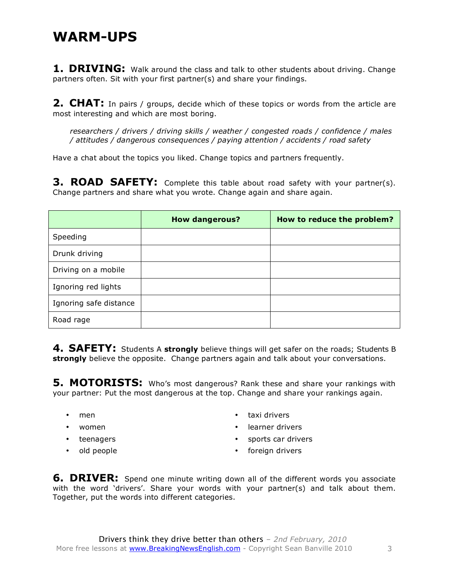#### **WARM-UPS**

**1. DRIVING:** Walk around the class and talk to other students about driving. Change partners often. Sit with your first partner(s) and share your findings.

**2. CHAT:** In pairs / groups, decide which of these topics or words from the article are most interesting and which are most boring.

*researchers / drivers / driving skills / weather / congested roads / confidence / males / attitudes / dangerous consequences / paying attention / accidents / road safety*

Have a chat about the topics you liked. Change topics and partners frequently.

**3. ROAD SAFETY:** Complete this table about road safety with your partner(s). Change partners and share what you wrote. Change again and share again.

|                        | <b>How dangerous?</b> | How to reduce the problem? |
|------------------------|-----------------------|----------------------------|
| Speeding               |                       |                            |
| Drunk driving          |                       |                            |
| Driving on a mobile    |                       |                            |
| Ignoring red lights    |                       |                            |
| Ignoring safe distance |                       |                            |
| Road rage              |                       |                            |

**4. SAFETY:** Students A **strongly** believe things will get safer on the roads; Students B **strongly** believe the opposite. Change partners again and talk about your conversations.

**5. MOTORISTS:** Who's most dangerous? Rank these and share your rankings with your partner: Put the most dangerous at the top. Change and share your rankings again.

- men
- women
- teenagers
- old people
- taxi drivers
- learner drivers
- sports car drivers
- foreign drivers

**6. DRIVER:** Spend one minute writing down all of the different words you associate with the word 'drivers'. Share your words with your partner(s) and talk about them. Together, put the words into different categories.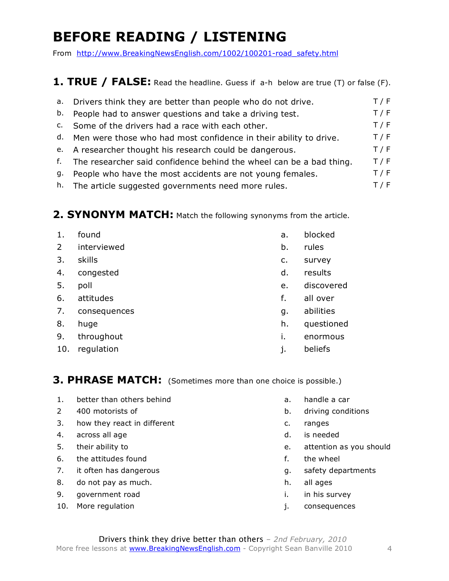# **BEFORE READING / LISTENING**

From http://www.BreakingNewsEnglish.com/1002/100201-road\_safety.html

#### **1. TRUE / FALSE:** Read the headline. Guess if a-h below are true (T) or false (F).

| а. | Drivers think they are better than people who do not drive.            | T / F |
|----|------------------------------------------------------------------------|-------|
| b. | People had to answer questions and take a driving test.                | T / F |
|    | c. Some of the drivers had a race with each other.                     | T / F |
|    | d. Men were those who had most confidence in their ability to drive.   | T / F |
|    | e. A researcher thought his research could be dangerous.               | T / F |
|    | f. The researcher said confidence behind the wheel can be a bad thing. | T / F |
| g. | People who have the most accidents are not young females.              | T / F |
|    | h. The article suggested governments need more rules.                  | T / F |
|    |                                                                        |       |

#### 2. SYNONYM MATCH: Match the following synonyms from the article.

| 1.             | found        | a.             | blocked    |
|----------------|--------------|----------------|------------|
| $\overline{2}$ | interviewed  | b.             | rules      |
| 3.             | skills       | $\mathsf{C}$ . | survey     |
| 4.             | congested    | d.             | results    |
| 5.             | poll         | e.             | discovered |
| 6.             | attitudes    | f.             | all over   |
| 7.             | consequences | g.             | abilities  |
| 8.             | huge         | h.             | questioned |
| 9.             | throughout   | i.             | enormous   |
| 10.            | regulation   | j.             | beliefs    |
|                |              |                |            |

#### **3. PHRASE MATCH:** (Sometimes more than one choice is possible.)

- 1. better than others behind and the carries of the carries of the carries of the carries of the carries of the carries of the carries of the carries of the carries of the carries of the carries of the carries of the carri
- 
- 3. how they react in different example of the c. ranges
- 4. across all age density and the contract of the contract of the contract of the contract of the contract of the contract of the contract of the contract of the contract of the contract of the contract of the contract of
- 
- 6. the attitudes found the set of the wheel for the wheel of the wheel of the wheel of the wheel of the wheel
- 7. it often has dangerous and the same states of the safety departments
- 8. do not pay as much. h. all ages
- 9. government road in the survey in this survey
- 10. More regulation in the set of the set of the set of the set of the set of the set of the set of the set of the set of the set of the set of the set of the set of the set of the set of the set of the set of the set of t
- 
- 2 400 motorists of b. driving conditions
	-
	-
- 5. their ability to e. attention as you should
	-
	-
	-
	-
	-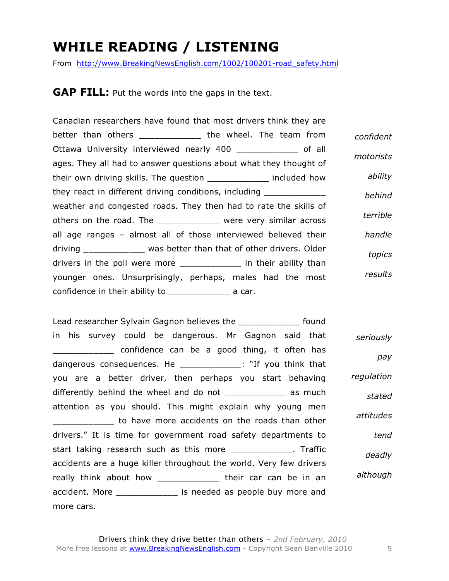#### **WHILE READING / LISTENING**

From http://www.BreakingNewsEnglish.com/1002/100201-road\_safety.html

**GAP FILL:** Put the words into the gaps in the text.

|           | Canadian researchers have found that most drivers think they are      |
|-----------|-----------------------------------------------------------------------|
| confident | better than others ______________ the wheel. The team from            |
| motorists | Ottawa University interviewed nearly 400 ______________ of all        |
|           | ages. They all had to answer questions about what they thought of     |
| ability   | their own driving skills. The question ______________ included how    |
| behind    | they react in different driving conditions, including _______________ |
|           | weather and congested roads. They then had to rate the skills of      |
| terrible  | others on the road. The _____________ were very similar across        |
| handle    | all age ranges – almost all of those interviewed believed their       |
| topics    | driving _____________ was better than that of other drivers. Older    |
|           | drivers in the poll were more ______________ in their ability than    |
| results   | younger ones. Unsurprisingly, perhaps, males had the most             |
|           | confidence in their ability to _________________________ a car.       |

Lead researcher Sylvain Gagnon believes the **Lead researcher Sylvain Gagnon** believes the in his survey could be dangerous. Mr Gagnon said that \_\_\_\_\_\_\_\_\_\_\_\_ confidence can be a good thing, it often has dangerous consequences. He \_\_\_\_\_\_\_\_\_\_\_\_\_: "If you think that you are a better driver, then perhaps you start behaving differently behind the wheel and do not \_\_\_\_\_\_\_\_\_\_\_\_\_\_ as much attention as you should. This might explain why young men to have more accidents on the roads than other drivers." It is time for government road safety departments to start taking research such as this more \_\_\_\_\_\_\_\_\_\_\_\_\_. Traffic accidents are a huge killer throughout the world. Very few drivers really think about how \_\_\_\_\_\_\_\_\_\_\_\_\_\_ their car can be in an accident. More \_\_\_\_\_\_\_\_\_\_\_\_ is needed as people buy more and more cars. *seriously pay regulation stated attitudes tend deadly although*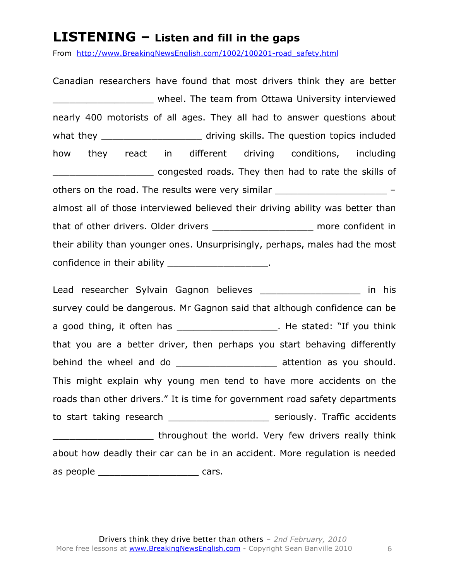#### **LISTENING – Listen and fill in the gaps**

From http://www.BreakingNewsEnglish.com/1002/100201-road\_safety.html

Canadian researchers have found that most drivers think they are better \_\_\_\_\_\_\_\_\_\_\_\_\_\_\_\_\_\_ wheel. The team from Ottawa University interviewed nearly 400 motorists of all ages. They all had to answer questions about what they \_\_\_\_\_\_\_\_\_\_\_\_\_\_\_\_\_\_\_\_\_\_\_\_\_\_ driving skills. The question topics included how they react in different driving conditions, including congested roads. They then had to rate the skills of others on the road. The results were very similar  $$ almost all of those interviewed believed their driving ability was better than that of other drivers. Older drivers \_\_\_\_\_\_\_\_\_\_\_\_\_\_\_\_\_\_ more confident in their ability than younger ones. Unsurprisingly, perhaps, males had the most confidence in their ability and the set of the set of the set of the set of the set of the set of the set of the set of the set of the set of the set of the set of the set of the set of the set of the set of the set of the

Lead researcher Sylvain Gagnon believes **Exercise 12** 11 and 15 survey could be dangerous. Mr Gagnon said that although confidence can be a good thing, it often has \_\_\_\_\_\_\_\_\_\_\_\_\_\_\_\_\_\_\_\_\_\_. He stated: "If you think that you are a better driver, then perhaps you start behaving differently behind the wheel and do \_\_\_\_\_\_\_\_\_\_\_\_\_\_\_\_\_\_\_\_\_\_ attention as you should. This might explain why young men tend to have more accidents on the roads than other drivers." It is time for government road safety departments to start taking research \_\_\_\_\_\_\_\_\_\_\_\_\_\_\_\_\_\_ seriously. Traffic accidents **with the world. Very few drivers really think** about how deadly their car can be in an accident. More regulation is needed as people \_\_\_\_\_\_\_\_\_\_\_\_\_\_\_\_\_\_\_\_\_\_\_\_\_\_\_\_\_\_ cars.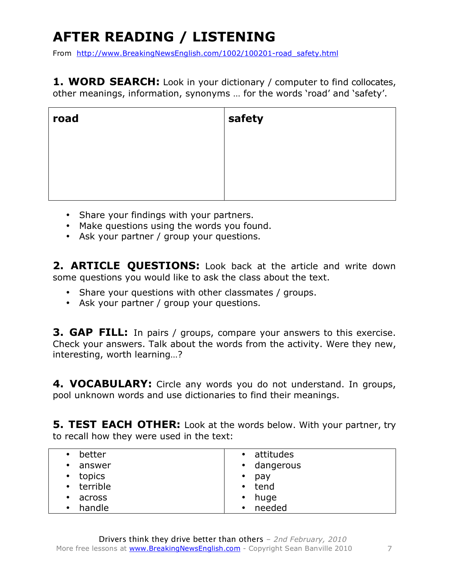# **AFTER READING / LISTENING**

From http://www.BreakingNewsEnglish.com/1002/100201-road\_safety.html

**1. WORD SEARCH:** Look in your dictionary / computer to find collocates, other meanings, information, synonyms … for the words 'road' and 'safety'.

| road | safety |
|------|--------|
|      |        |
|      |        |
|      |        |

- Share your findings with your partners.
- Make questions using the words you found.
- Ask your partner / group your questions.

2. **ARTICLE QUESTIONS:** Look back at the article and write down some questions you would like to ask the class about the text.

- Share your questions with other classmates / groups.
- Ask your partner / group your questions.

**3. GAP FILL:** In pairs / groups, compare your answers to this exercise. Check your answers. Talk about the words from the activity. Were they new, interesting, worth learning…?

**4. VOCABULARY:** Circle any words you do not understand. In groups, pool unknown words and use dictionaries to find their meanings.

**5. TEST EACH OTHER:** Look at the words below. With your partner, try to recall how they were used in the text:

| better<br>$\bullet$ | • attitudes |
|---------------------|-------------|
| answer<br>$\bullet$ | • dangerous |
| topics              | pay         |
| $\bullet$           | $\bullet$   |
| • terrible          | • tend      |
| across              | huge        |
| $\bullet$           | $\bullet$   |
| handle              | needed      |
| $\bullet$           | $\bullet$   |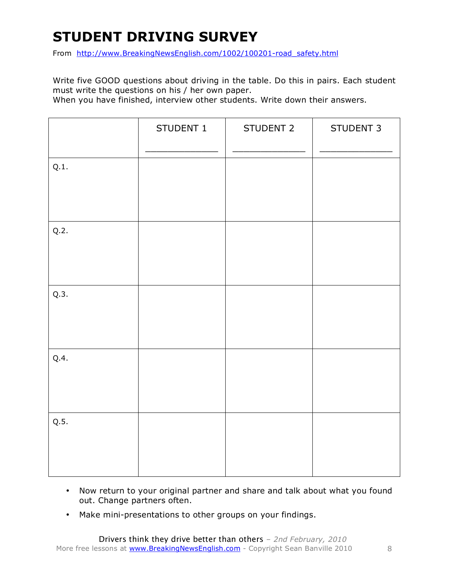# **STUDENT DRIVING SURVEY**

From http://www.BreakingNewsEnglish.com/1002/100201-road\_safety.html

Write five GOOD questions about driving in the table. Do this in pairs. Each student must write the questions on his / her own paper.

When you have finished, interview other students. Write down their answers.

|      | STUDENT 1 | STUDENT 2 | STUDENT 3 |
|------|-----------|-----------|-----------|
| Q.1. |           |           |           |
| Q.2. |           |           |           |
| Q.3. |           |           |           |
| Q.4. |           |           |           |
| Q.5. |           |           |           |

- Now return to your original partner and share and talk about what you found out. Change partners often.
- Make mini-presentations to other groups on your findings.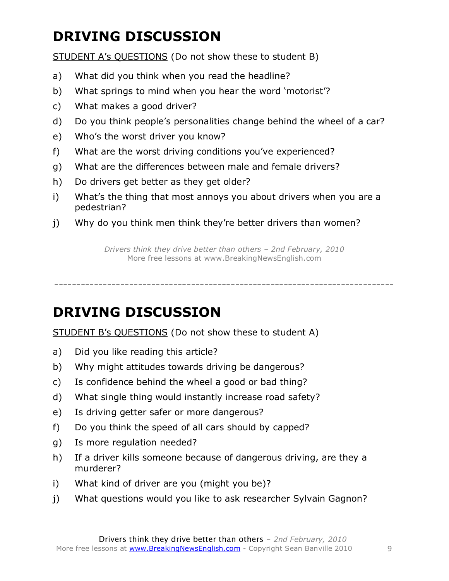## **DRIVING DISCUSSION**

STUDENT A's QUESTIONS (Do not show these to student B)

- a) What did you think when you read the headline?
- b) What springs to mind when you hear the word 'motorist'?
- c) What makes a good driver?
- d) Do you think people's personalities change behind the wheel of a car?
- e) Who's the worst driver you know?
- f) What are the worst driving conditions you've experienced?
- g) What are the differences between male and female drivers?
- h) Do drivers get better as they get older?
- i) What's the thing that most annoys you about drivers when you are a pedestrian?
- j) Why do you think men think they're better drivers than women?

*Drivers think they drive better than others – 2nd February, 2010* More free lessons at www.BreakingNewsEnglish.com

-----------------------------------------------------------------------------

### **DRIVING DISCUSSION**

STUDENT B's QUESTIONS (Do not show these to student A)

- a) Did you like reading this article?
- b) Why might attitudes towards driving be dangerous?
- c) Is confidence behind the wheel a good or bad thing?
- d) What single thing would instantly increase road safety?
- e) Is driving getter safer or more dangerous?
- f) Do you think the speed of all cars should by capped?
- g) Is more regulation needed?
- h) If a driver kills someone because of dangerous driving, are they a murderer?
- i) What kind of driver are you (might you be)?
- j) What questions would you like to ask researcher Sylvain Gagnon?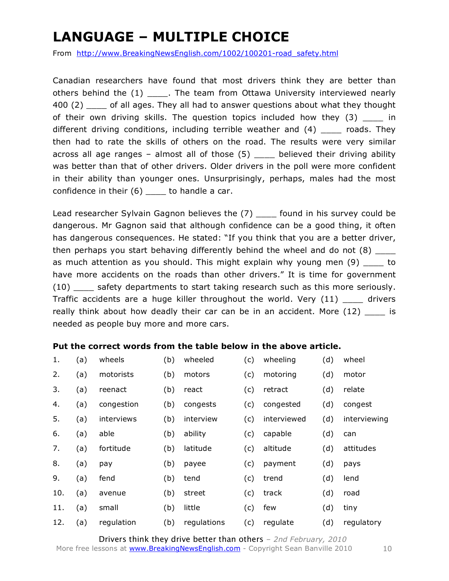## **LANGUAGE – MULTIPLE CHOICE**

From http://www.BreakingNewsEnglish.com/1002/100201-road\_safety.html

Canadian researchers have found that most drivers think they are better than others behind the (1) \_\_\_\_\_. The team from Ottawa University interviewed nearly 400 (2) \_\_\_\_ of all ages. They all had to answer questions about what they thought of their own driving skills. The question topics included how they (3) \_\_\_\_ in different driving conditions, including terrible weather and (4) \_\_\_\_ roads. They then had to rate the skills of others on the road. The results were very similar across all age ranges – almost all of those (5) believed their driving ability was better than that of other drivers. Older drivers in the poll were more confident in their ability than younger ones. Unsurprisingly, perhaps, males had the most confidence in their (6) to handle a car.

Lead researcher Sylvain Gagnon believes the (7) \_\_\_\_ found in his survey could be dangerous. Mr Gagnon said that although confidence can be a good thing, it often has dangerous consequences. He stated: "If you think that you are a better driver, then perhaps you start behaving differently behind the wheel and do not  $(8)$ as much attention as you should. This might explain why young men (9) \_\_\_\_ to have more accidents on the roads than other drivers." It is time for government (10) \_\_\_\_ safety departments to start taking research such as this more seriously. Traffic accidents are a huge killer throughout the world. Very (11) drivers really think about how deadly their car can be in an accident. More  $(12)$  is needed as people buy more and more cars.

#### **Put the correct words from the table below in the above article.**

| 1.  | (a) | wheels     | (b) | wheeled     | (c) | wheeling    | (d) | wheel        |
|-----|-----|------------|-----|-------------|-----|-------------|-----|--------------|
| 2.  | (a) | motorists  | (b) | motors      | (c) | motoring    | (d) | motor        |
| 3.  | (a) | reenact    | (b) | react       | (c) | retract     | (d) | relate       |
| 4.  | (a) | congestion | (b) | congests    | (c) | congested   | (d) | congest      |
| 5.  | (a) | interviews | (b) | interview   | (c) | interviewed | (d) | interviewing |
| 6.  | (a) | able       | (b) | ability     | (c) | capable     | (d) | can          |
| 7.  | (a) | fortitude  | (b) | latitude    | (c) | altitude    | (d) | attitudes    |
| 8.  | (a) | pay        | (b) | payee       | (c) | payment     | (d) | pays         |
| 9.  | (a) | fend       | (b) | tend        | (c) | trend       | (d) | lend         |
| 10. | (a) | avenue     | (b) | street      | (c) | track       | (d) | road         |
| 11. | (a) | small      | (b) | little      | (c) | few         | (d) | tiny         |
| 12. | (a) | regulation | (b) | regulations | (c) | regulate    | (d) | regulatory   |

Drivers think they drive better than others *– 2nd February, 2010* More free lessons at **www.BreakingNewsEnglish.com** - Copyright Sean Banville 2010 10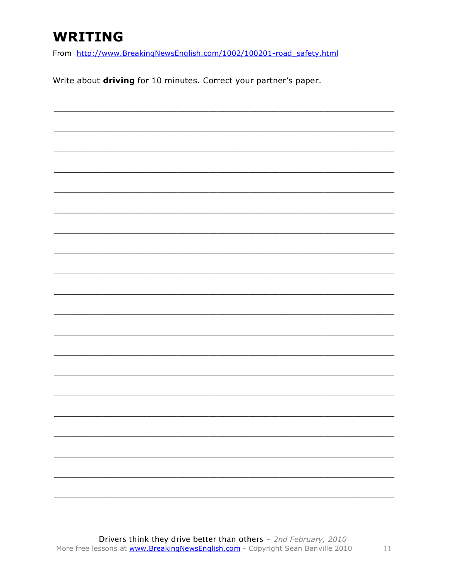### **WRITING**

From http://www.BreakingNewsEnglish.com/1002/100201-road\_safety.html

Write about driving for 10 minutes. Correct your partner's paper.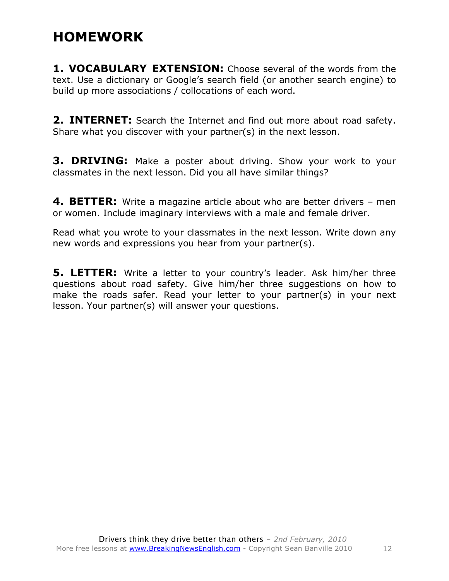#### **HOMEWORK**

**1. VOCABULARY EXTENSION:** Choose several of the words from the text. Use a dictionary or Google's search field (or another search engine) to build up more associations / collocations of each word.

**2. INTERNET:** Search the Internet and find out more about road safety. Share what you discover with your partner(s) in the next lesson.

**3. DRIVING:** Make a poster about driving. Show your work to your classmates in the next lesson. Did you all have similar things?

**4. BETTER:** Write a magazine article about who are better drivers – men or women. Include imaginary interviews with a male and female driver.

Read what you wrote to your classmates in the next lesson. Write down any new words and expressions you hear from your partner(s).

**5. LETTER:** Write a letter to your country's leader. Ask him/her three questions about road safety. Give him/her three suggestions on how to make the roads safer. Read your letter to your partner(s) in your next lesson. Your partner(s) will answer your questions.